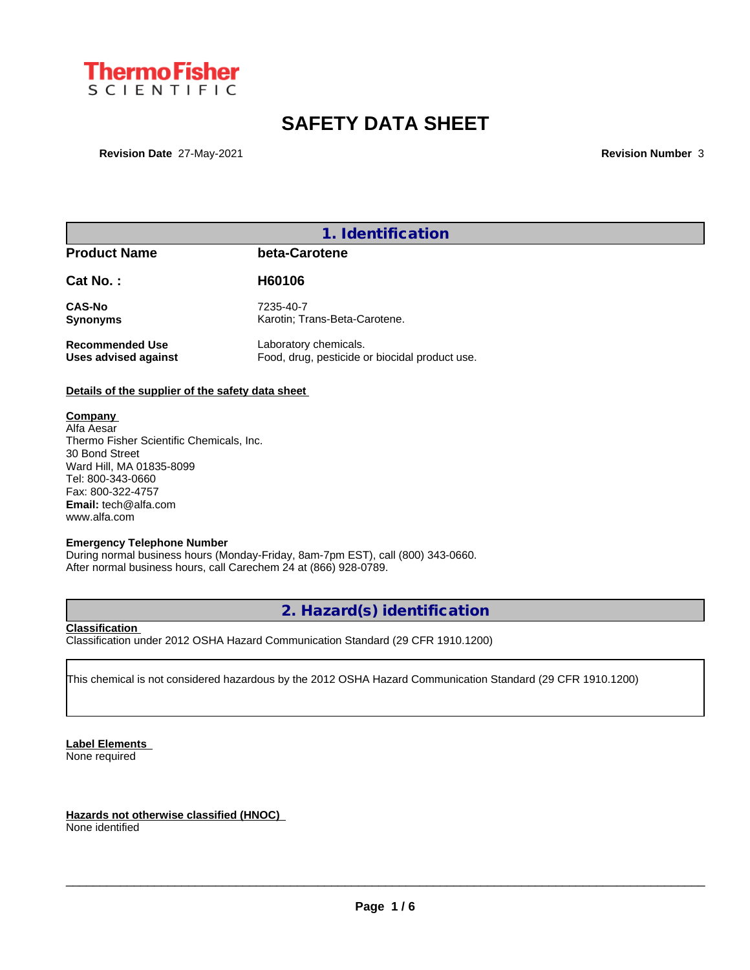

# **SAFETY DATA SHEET**

**Revision Date** 27-May-2021 **Revision Number** 3

## **1. Identification**

### **Product Name beta-Carotene**

| Cat No.:               | H60106                                        |
|------------------------|-----------------------------------------------|
| <b>CAS-No</b>          | 7235-40-7                                     |
| <b>Synonyms</b>        | Karotin; Trans-Beta-Carotene.                 |
| <b>Recommended Use</b> | Laboratory chemicals.                         |
| Uses advised against   | Food, drug, pesticide or biocidal product use |

#### **Details of the supplier of the safety data sheet**

#### **Company**

Alfa Aesar Thermo Fisher Scientific Chemicals, Inc. 30 Bond Street Ward Hill, MA 01835-8099 Tel: 800-343-0660 Fax: 800-322-4757 **Email:** tech@alfa.com www.alfa.com

#### **Emergency Telephone Number**

During normal business hours (Monday-Friday, 8am-7pm EST), call (800) 343-0660. After normal business hours, call Carechem 24 at (866) 928-0789.

## **2. Hazard(s) identification**

#### **Classification**

Classification under 2012 OSHA Hazard Communication Standard (29 CFR 1910.1200)

This chemical is not considered hazardous by the 2012 OSHA Hazard Communication Standard (29 CFR 1910.1200)

**Label Elements**

None required

**Hazards not otherwise classified (HNOC)**

None identified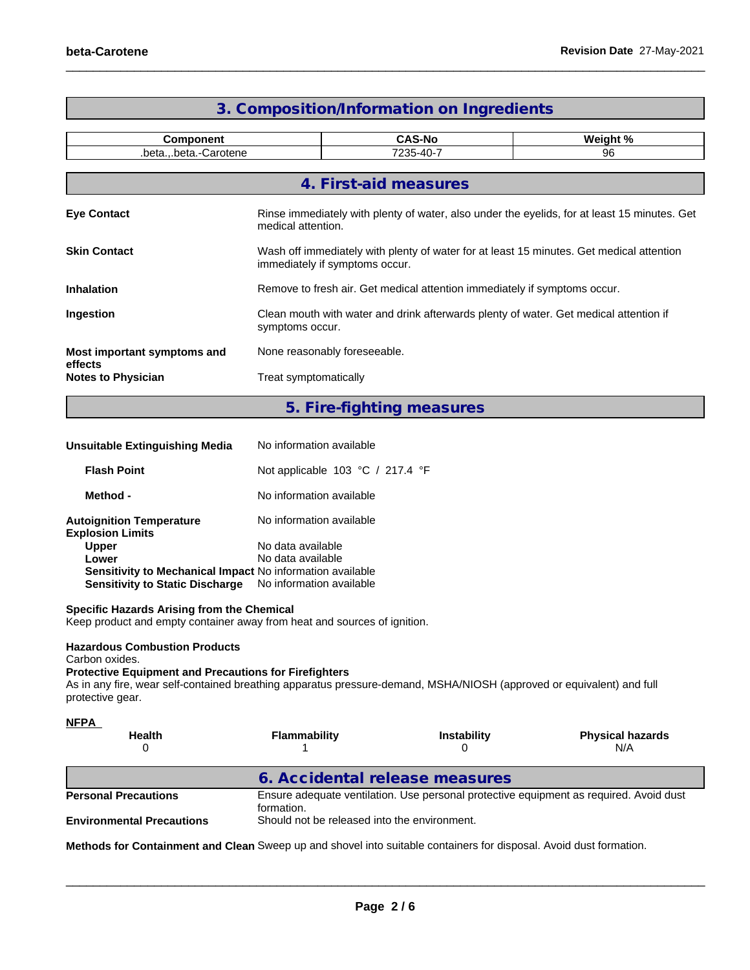| <b>Component</b>                       |                     | <b>CAS-No</b>                                                                                                              | Weight % |  |
|----------------------------------------|---------------------|----------------------------------------------------------------------------------------------------------------------------|----------|--|
|                                        | .betabeta.-Carotene | 7235-40-7                                                                                                                  | 96       |  |
|                                        |                     |                                                                                                                            |          |  |
|                                        |                     | 4. First-aid measures                                                                                                      |          |  |
| <b>Eye Contact</b>                     |                     | Rinse immediately with plenty of water, also under the eyelids, for at least 15 minutes. Get<br>medical attention.         |          |  |
| <b>Skin Contact</b>                    |                     | Wash off immediately with plenty of water for at least 15 minutes. Get medical attention<br>immediately if symptoms occur. |          |  |
| <b>Inhalation</b>                      |                     | Remove to fresh air. Get medical attention immediately if symptoms occur.                                                  |          |  |
| Ingestion                              |                     | Clean mouth with water and drink afterwards plenty of water. Get medical attention if<br>symptoms occur.                   |          |  |
| Most important symptoms and<br>effects |                     | None reasonably foreseeable.                                                                                               |          |  |
| <b>Notes to Physician</b>              |                     | Treat symptomatically                                                                                                      |          |  |

# **3. Composition/Information on Ingredients**

**5. Fire-fighting measures**

| Unsuitable Extinguishing Media                             | No information available                             |
|------------------------------------------------------------|------------------------------------------------------|
| <b>Flash Point</b>                                         | Not applicable 103 $^{\circ}$ C / 217.4 $^{\circ}$ F |
| Method -                                                   | No information available                             |
| <b>Autoignition Temperature</b><br><b>Explosion Limits</b> | No information available                             |
| <b>Upper</b>                                               | No data available                                    |
| Lower                                                      | No data available                                    |
| Sensitivity to Mechanical Impact No information available  |                                                      |
| <b>Sensitivity to Static Discharge</b>                     | No information available                             |

#### **Specific Hazards Arising from the Chemical**

Keep product and empty container away from heat and sources of ignition.

#### **Hazardous Combustion Products**

Carbon oxides.

#### **Protective Equipment and Precautions for Firefighters**

As in any fire, wear self-contained breathing apparatus pressure-demand, MSHA/NIOSH (approved or equivalent) and full protective gear.

| <b>NFPA</b><br><b>Health</b><br>0 | <b>Flammability</b>                                                                                  | Instability | <b>Physical hazards</b><br>N/A |  |  |
|-----------------------------------|------------------------------------------------------------------------------------------------------|-------------|--------------------------------|--|--|
|                                   | 6. Accidental release measures                                                                       |             |                                |  |  |
| <b>Personal Precautions</b>       | Ensure adequate ventilation. Use personal protective equipment as required. Avoid dust<br>formation. |             |                                |  |  |
| <b>Environmental Precautions</b>  | Should not be released into the environment.                                                         |             |                                |  |  |

**Methods for Containment and Clean** Sweep up and shovel into suitable containers for disposal. Avoid dust formation.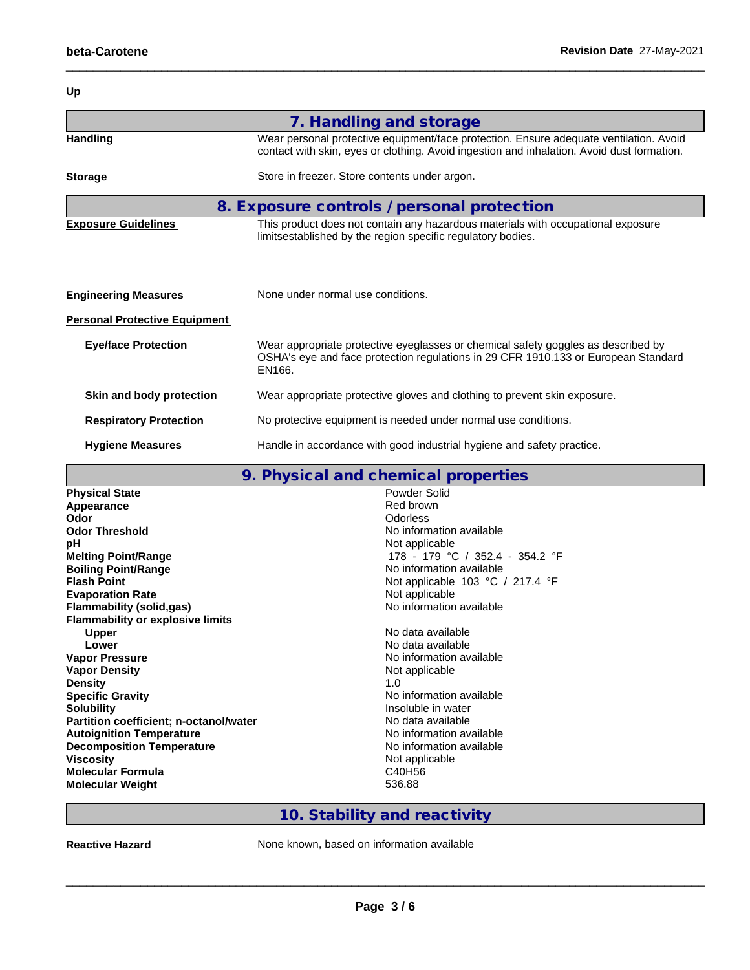| Up                                   |                                                                                                                                                                                      |
|--------------------------------------|--------------------------------------------------------------------------------------------------------------------------------------------------------------------------------------|
|                                      | 7. Handling and storage                                                                                                                                                              |
| <b>Handling</b>                      | Wear personal protective equipment/face protection. Ensure adequate ventilation. Avoid<br>contact with skin, eyes or clothing. Avoid ingestion and inhalation. Avoid dust formation. |
| <b>Storage</b>                       | Store in freezer. Store contents under argon.                                                                                                                                        |
|                                      | 8. Exposure controls / personal protection                                                                                                                                           |
| <b>Exposure Guidelines</b>           | This product does not contain any hazardous materials with occupational exposure<br>limitsestablished by the region specific regulatory bodies.                                      |
|                                      |                                                                                                                                                                                      |
| <b>Engineering Measures</b>          | None under normal use conditions.                                                                                                                                                    |
| <b>Personal Protective Equipment</b> |                                                                                                                                                                                      |
| <b>Eye/face Protection</b>           | Wear appropriate protective eyeglasses or chemical safety goggles as described by<br>OSHA's eye and face protection regulations in 29 CFR 1910.133 or European Standard<br>EN166.    |
| Skin and body protection             | Wear appropriate protective gloves and clothing to prevent skin exposure.                                                                                                            |
| <b>Respiratory Protection</b>        | No protective equipment is needed under normal use conditions.                                                                                                                       |
| <b>Hygiene Measures</b>              | Handle in accordance with good industrial hygiene and safety practice.                                                                                                               |

|                                         | 9. Physical and chemical properties                  |
|-----------------------------------------|------------------------------------------------------|
| <b>Physical State</b>                   | Powder Solid                                         |
| Appearance                              | Red brown                                            |
| Odor                                    | Odorless                                             |
| <b>Odor Threshold</b>                   | No information available                             |
| рH                                      | Not applicable                                       |
| <b>Melting Point/Range</b>              | 178 - 179 °C / 352.4 - 354.2 °F                      |
| <b>Boiling Point/Range</b>              | No information available                             |
| <b>Flash Point</b>                      | Not applicable 103 $^{\circ}$ C / 217.4 $^{\circ}$ F |
| <b>Evaporation Rate</b>                 | Not applicable                                       |
| <b>Flammability (solid,gas)</b>         | No information available                             |
| <b>Flammability or explosive limits</b> |                                                      |
| <b>Upper</b>                            | No data available                                    |
| Lower                                   | No data available                                    |
| <b>Vapor Pressure</b>                   | No information available                             |
| <b>Vapor Density</b>                    | Not applicable                                       |
| <b>Density</b>                          | 1.0                                                  |
| <b>Specific Gravity</b>                 | No information available                             |
| <b>Solubility</b>                       | Insoluble in water                                   |
| Partition coefficient; n-octanol/water  | No data available                                    |
| <b>Autoignition Temperature</b>         | No information available                             |
| <b>Decomposition Temperature</b>        | No information available                             |
| <b>Viscosity</b>                        | Not applicable                                       |
| <b>Molecular Formula</b>                | C40H56                                               |
| <b>Molecular Weight</b>                 | 536.88                                               |

# **10. Stability and reactivity**

**Reactive Hazard None known, based on information available**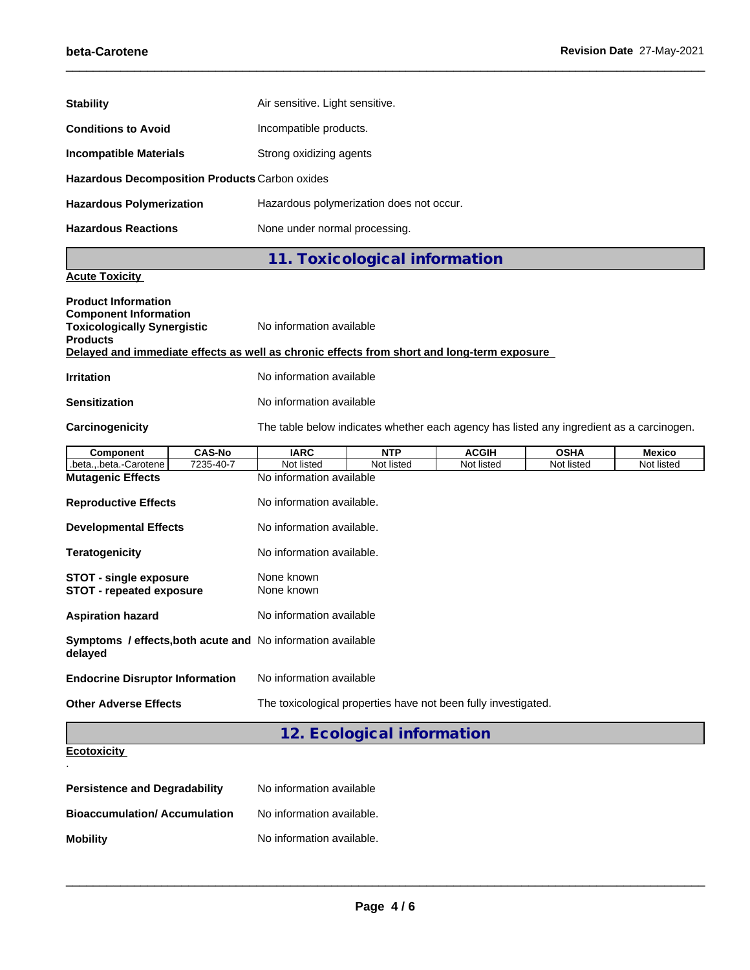| <b>Stability</b>                               |                                          |
|------------------------------------------------|------------------------------------------|
|                                                | Air sensitive. Light sensitive.          |
| <b>Conditions to Avoid</b>                     | Incompatible products.                   |
| <b>Incompatible Materials</b>                  | Strong oxidizing agents                  |
| Hazardous Decomposition Products Carbon oxides |                                          |
| <b>Hazardous Polymerization</b>                | Hazardous polymerization does not occur. |
| <b>Hazardous Reactions</b>                     | None under normal processing.            |
|                                                | 11. Toxicological information            |
| . .<br>$\sim$                                  |                                          |

## **Acute Toxicity**

| <b>Product Information</b><br><b>Component Information</b><br><b>Toxicologically Synergistic</b><br><b>Products</b><br>Delayed and immediate effects as well as chronic effects from short and long-term exposure | No information available                                       |            |              |                                                                                          |               |
|-------------------------------------------------------------------------------------------------------------------------------------------------------------------------------------------------------------------|----------------------------------------------------------------|------------|--------------|------------------------------------------------------------------------------------------|---------------|
|                                                                                                                                                                                                                   |                                                                |            |              |                                                                                          |               |
| <b>Irritation</b>                                                                                                                                                                                                 | No information available                                       |            |              |                                                                                          |               |
| <b>Sensitization</b>                                                                                                                                                                                              | No information available                                       |            |              |                                                                                          |               |
| Carcinogenicity                                                                                                                                                                                                   |                                                                |            |              | The table below indicates whether each agency has listed any ingredient as a carcinogen. |               |
| <b>CAS-No</b><br><b>Component</b>                                                                                                                                                                                 | <b>IARC</b>                                                    | <b>NTP</b> | <b>ACGIH</b> | <b>OSHA</b>                                                                              | <b>Mexico</b> |
| .betabeta.-Carotene<br>7235-40-7                                                                                                                                                                                  | Not listed                                                     | Not listed | Not listed   | Not listed                                                                               | Not listed    |
| <b>Mutagenic Effects</b>                                                                                                                                                                                          | No information available                                       |            |              |                                                                                          |               |
| <b>Reproductive Effects</b>                                                                                                                                                                                       | No information available.                                      |            |              |                                                                                          |               |
| <b>Developmental Effects</b>                                                                                                                                                                                      | No information available.                                      |            |              |                                                                                          |               |
| <b>Teratogenicity</b>                                                                                                                                                                                             | No information available.                                      |            |              |                                                                                          |               |
| <b>STOT - single exposure</b><br><b>STOT - repeated exposure</b>                                                                                                                                                  | None known<br>None known                                       |            |              |                                                                                          |               |
| <b>Aspiration hazard</b>                                                                                                                                                                                          | No information available                                       |            |              |                                                                                          |               |
| Symptoms / effects, both acute and No information available<br>delayed                                                                                                                                            |                                                                |            |              |                                                                                          |               |
| <b>Endocrine Disruptor Information</b>                                                                                                                                                                            | No information available                                       |            |              |                                                                                          |               |
| <b>Other Adverse Effects</b>                                                                                                                                                                                      | The toxicological properties have not been fully investigated. |            |              |                                                                                          |               |

#### **Ecotoxicity**  .

| <b>Persistence and Degradability</b> | No information available  |
|--------------------------------------|---------------------------|
| <b>Bioaccumulation/Accumulation</b>  | No information available. |
| <b>Mobility</b>                      | No information available. |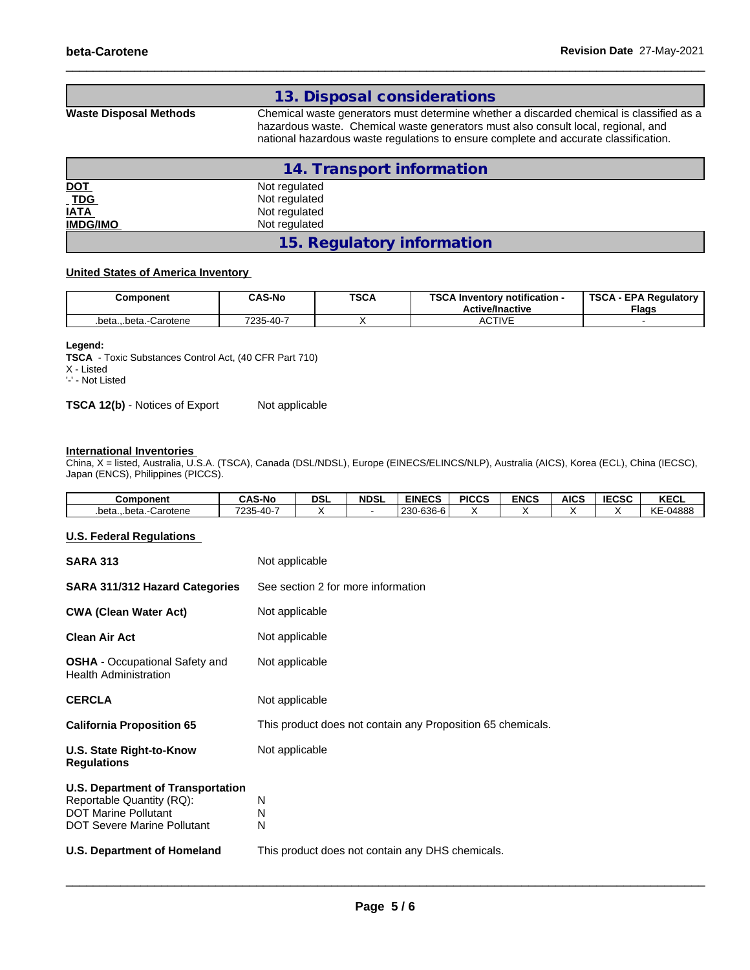|                        | 13. Disposal considerations                                                                                                                                                                                                                                           |
|------------------------|-----------------------------------------------------------------------------------------------------------------------------------------------------------------------------------------------------------------------------------------------------------------------|
| Waste Disposal Methods | Chemical waste generators must determine whether a discarded chemical is classified as a<br>hazardous waste. Chemical waste generators must also consult local, regional, and<br>national hazardous waste regulations to ensure complete and accurate classification. |

|                           | 14. Transport information  |
|---------------------------|----------------------------|
| <u>DOT</u><br>TDG<br>IATA | Not regulated              |
|                           | Not regulated              |
|                           | Not regulated              |
| <b>IMDG/IMO</b>           | Not regulated              |
|                           | 15. Regulatory information |

#### **United States of America Inventory**

| Component               | <b>CAS-No</b>  | <b>TSCA</b> | TOO AL<br>$\cdot$ Inventory notification -<br>ີ<br><b>Active/Inactive</b> | <b>TSCA</b><br><b>EPA Regulatory</b><br><b>Flags</b> |
|-------------------------|----------------|-------------|---------------------------------------------------------------------------|------------------------------------------------------|
| .betabeta.<br>-Carotene | 7235-40-<br>ь. |             | <b>CTIVE</b><br>8911 V L                                                  |                                                      |

#### **Legend:**

**TSCA** - Toxic Substances Control Act, (40 CFR Part 710) X - Listed '-' - Not Listed

**TSCA 12(b)** - Notices of Export Not applicable

#### **International Inventories**

China, X = listed, Australia, U.S.A. (TSCA), Canada (DSL/NDSL), Europe (EINECS/ELINCS/NLP), Australia (AICS), Korea (ECL), China (IECSC), Japan (ENCS), Philippines (PICCS).

| Component              | <b>CAS-No</b> | <b>DSL</b> | <b>NDSL</b> | <b>EINECS</b> | <b>PICCS</b> | <b>ENCS</b> | <b>AICS</b> | <b>IECSC</b> | <b>KECL</b> |
|------------------------|---------------|------------|-------------|---------------|--------------|-------------|-------------|--------------|-------------|
| .betabeta.<br>Carotene | 7235-40-      |            |             | 230-636-6     |              |             |             |              | KE-04888    |

#### **U.S. Federal Regulations**

| <b>SARA 313</b>                                                                                                                            | Not applicable                                              |  |  |  |  |  |
|--------------------------------------------------------------------------------------------------------------------------------------------|-------------------------------------------------------------|--|--|--|--|--|
| SARA 311/312 Hazard Categories                                                                                                             | See section 2 for more information                          |  |  |  |  |  |
| <b>CWA (Clean Water Act)</b>                                                                                                               | Not applicable                                              |  |  |  |  |  |
| <b>Clean Air Act</b>                                                                                                                       | Not applicable                                              |  |  |  |  |  |
| <b>OSHA</b> - Occupational Safety and<br><b>Health Administration</b>                                                                      | Not applicable                                              |  |  |  |  |  |
| <b>CERCLA</b>                                                                                                                              | Not applicable                                              |  |  |  |  |  |
| <b>California Proposition 65</b>                                                                                                           | This product does not contain any Proposition 65 chemicals. |  |  |  |  |  |
| U.S. State Right-to-Know<br><b>Regulations</b>                                                                                             | Not applicable                                              |  |  |  |  |  |
| <b>U.S. Department of Transportation</b><br>Reportable Quantity (RQ):<br><b>DOT Marine Pollutant</b><br><b>DOT Severe Marine Pollutant</b> | N<br>N<br>N                                                 |  |  |  |  |  |
| <b>U.S. Department of Homeland</b>                                                                                                         | This product does not contain any DHS chemicals.            |  |  |  |  |  |
|                                                                                                                                            |                                                             |  |  |  |  |  |